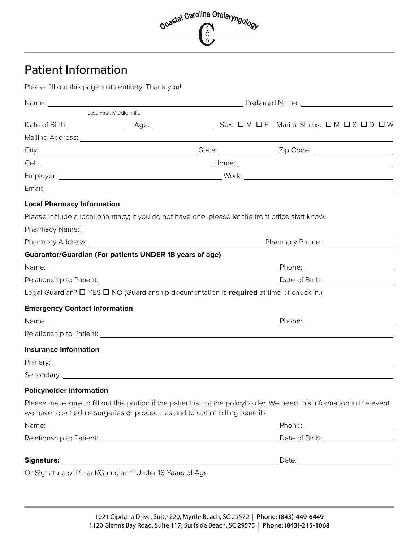

# Patient Information

Please fill out this page in its entirety. Thank you!

| Last, First, Middle Initial                                                                                                                                                                            |  |  |  |  |  |
|--------------------------------------------------------------------------------------------------------------------------------------------------------------------------------------------------------|--|--|--|--|--|
|                                                                                                                                                                                                        |  |  |  |  |  |
|                                                                                                                                                                                                        |  |  |  |  |  |
|                                                                                                                                                                                                        |  |  |  |  |  |
|                                                                                                                                                                                                        |  |  |  |  |  |
|                                                                                                                                                                                                        |  |  |  |  |  |
|                                                                                                                                                                                                        |  |  |  |  |  |
| <b>Local Pharmacy Information</b>                                                                                                                                                                      |  |  |  |  |  |
| Please include a local pharmacy; if you do not have one, please let the front office staff know.                                                                                                       |  |  |  |  |  |
|                                                                                                                                                                                                        |  |  |  |  |  |
|                                                                                                                                                                                                        |  |  |  |  |  |
| <b>Guarantor/Guardian (For patients UNDER 18 years of age)</b>                                                                                                                                         |  |  |  |  |  |
|                                                                                                                                                                                                        |  |  |  |  |  |
|                                                                                                                                                                                                        |  |  |  |  |  |
| Legal Guardian? <b>O</b> YES <b>O</b> NO (Guardianship documentation is required at time of check-in.)                                                                                                 |  |  |  |  |  |
| <b>Emergency Contact Information</b>                                                                                                                                                                   |  |  |  |  |  |
|                                                                                                                                                                                                        |  |  |  |  |  |
|                                                                                                                                                                                                        |  |  |  |  |  |
| <b>Insurance Information</b>                                                                                                                                                                           |  |  |  |  |  |
|                                                                                                                                                                                                        |  |  |  |  |  |
|                                                                                                                                                                                                        |  |  |  |  |  |
| <b>Policyholder Information</b>                                                                                                                                                                        |  |  |  |  |  |
| Please make sure to fill out this portion if the patient is not the policyholder. We need this information in the event<br>we have to schedule surgeries or procedures and to obtain billing benefits. |  |  |  |  |  |
|                                                                                                                                                                                                        |  |  |  |  |  |
|                                                                                                                                                                                                        |  |  |  |  |  |
|                                                                                                                                                                                                        |  |  |  |  |  |
| Or Signature of Parent/Guardian if Under 18 Years of Age                                                                                                                                               |  |  |  |  |  |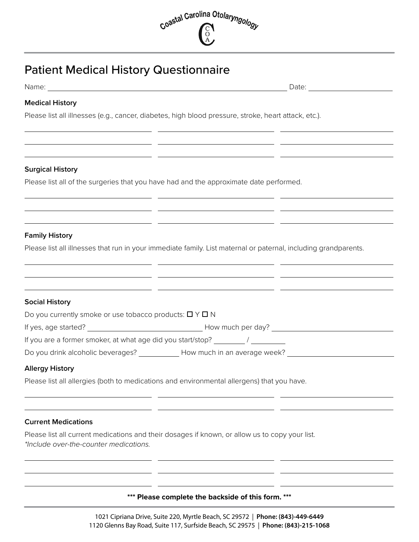

# Patient Medical History Questionnaire

|  | Name: |  |
|--|-------|--|
|  |       |  |

Date: Date:

#### **Medical History**

Please list all illnesses (e.g., cancer, diabetes, high blood pressure, stroke, heart attack, etc.).

#### **Surgical History**

Please list all of the surgeries that you have had and the approximate date performed.

 $\overline{\phantom{a}}$ 

### **Family History**

Please list all illnesses that run in your immediate family. List maternal or paternal, including grandparents.

### **Social History**

| Do you currently smoke or use tobacco products: $\Box$ $\lor$ $\Box$ N |                              |
|------------------------------------------------------------------------|------------------------------|
| If yes, age started?                                                   | How much per day?            |
| If you are a former smoker, at what age did you start/stop?            |                              |
| Do you drink alcoholic beverages?                                      | How much in an average week? |

#### **Allergy History**

Please list all allergies (both to medications and environmental allergens) that you have.

#### **Current Medications**

Please list all current medications and their dosages if known, or allow us to copy your list. *\*Include over-the-counter medications.* 

**Contract** 

#### **\*\*\* Please complete the backside of this form. \*\*\***

 $\mathcal{L}^{\mathcal{L}}$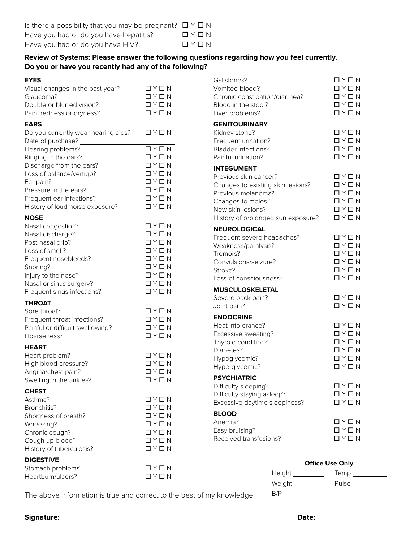## **Review of Systems: Please answer the following questions regarding how you feel currently. Do you or have you recently had any of the following?**

| <b>EYES</b>                         |                             | Gallstones?                        | QYQN                         |
|-------------------------------------|-----------------------------|------------------------------------|------------------------------|
| Visual changes in the past year?    | QYQN                        | Vomited blood?                     | QYQN                         |
| Glaucoma?                           | QYQN                        | Chronic constipation/diarrhea?     | $\Box$ $\lor$ $\Box$ $\land$ |
| Double or blurred vision?           | QYQN                        | Blood in the stool?                | $\Box$ $\lor$ $\Box$ $\land$ |
| Pain, redness or dryness?           | QYQN                        | Liver problems?                    | $\Box$ $\lor$ $\Box$ $\land$ |
| <b>EARS</b>                         |                             | <b>GENITOURINARY</b>               |                              |
| Do you currently wear hearing aids? | QYQN                        | Kidney stone?                      | QYQN                         |
| Date of purchase?                   |                             | Frequent urination?                | QYQN                         |
| Hearing problems?                   | QYQN                        | <b>Bladder infections?</b>         | QYQN                         |
| Ringing in the ears?                | QYQN                        | Painful urination?                 | QYQN                         |
| Discharge from the ears?            | QYQN                        | <b>INTEGUMENT</b>                  |                              |
| Loss of balance/vertigo?            | QYQN                        | Previous skin cancer?              | D Y D N                      |
| Ear pain?                           | QYQN                        | Changes to existing skin lesions?  | $\Box$ vee \Box \wedge       |
| Pressure in the ears?               | QYQN                        | Previous melanoma?                 | QYQN                         |
| Frequent ear infections?            | QYQN                        | Changes to moles?                  | D Y D N                      |
| History of loud noise exposure?     | QYQN                        | New skin lesions?                  | $\Box$ vee \Box \wedge       |
| <b>NOSE</b>                         |                             | History of prolonged sun exposure? | QYQN                         |
| Nasal congestion?                   | QYQN                        |                                    |                              |
| Nasal discharge?                    | QYQN                        | <b>NEUROLOGICAL</b>                |                              |
| Post-nasal drip?                    | QYQN                        | Frequent severe headaches?         | QYQN                         |
| Loss of smell?                      | QYQN                        | Weakness/paralysis?                | QYQN                         |
| Frequent nosebleeds?                | QYQN                        | Tremors?                           | $\Box$ vee \Box \wedge       |
| Snoring?                            | $\Box$ vee \Box \wedge      | Convulsions/seizure?               | QYQN                         |
| Injury to the nose?                 | QYQN                        | Stroke?                            | $\Box$ vee \Box \wedge       |
| Nasal or sinus surgery?             | QYQN                        | Loss of consciousness?             | $\Box$ vee \Box \wedge       |
| Frequent sinus infections?          | $\Box$ math> $\Box$ $\land$ | <b>MUSCULOSKELETAL</b>             |                              |
|                                     |                             | Severe back pain?                  | $\Box$ $\lor$ $\Box$ $\land$ |
| <b>THROAT</b>                       |                             | Joint pain?                        | $\Box$ math>                 |
| Sore throat?                        | QYQN                        | <b>ENDOCRINE</b>                   |                              |
| Frequent throat infections?         | QYQN                        | Heat intolerance?                  | QYQN                         |
| Painful or difficult swallowing?    | $\Box$ math> $\Box$ $\land$ | Excessive sweating?                | QYQN                         |
| Hoarseness?                         | $\Box$ vee \Box \wedge      | Thyroid condition?                 | QYQN                         |
| <b>HEART</b>                        |                             | Diabetes?                          | QYQN                         |
| Heart problem?                      | D Y D N                     | Hypoglycemic?                      | QYQN                         |
| High blood pressure?                | QYQN                        | Hyperglycemic?                     | QYQN                         |
| Angina/chest pain?                  | $\Box$ vee \Box \, N        |                                    |                              |
| Swelling in the ankles?             | D Y D N                     | <b>PSYCHIATRIC</b>                 |                              |
| <b>CHEST</b>                        |                             | Difficulty sleeping?               | $\Box$ math>                 |
| Asthma?                             | QYQN                        | Difficulty staying asleep?         | $\Box$ vee \Box \wedge       |
| Bronchitis?                         | $Q \vee Q$ N                | Excessive daytime sleepiness?      | $\Box$ math>                 |
| Shortness of breath?                | QYQN                        | <b>BLOOD</b>                       |                              |
| Wheezing?                           | QYQN                        | Anemia?                            | QYQN                         |
| Chronic cough?                      | QYQN                        | Easy bruising?                     | $\Box$ vee \Box \wedge       |
| Cough up blood?                     | QYQN                        | Received transfusions?             | $\Box$ vee \Box \wedge       |
| History of tuberculosis?            | QYQN                        |                                    |                              |
| <b>DIGESTIVE</b>                    |                             |                                    |                              |
| Stomach problems?                   | QYQN                        |                                    | <b>Office Use Only</b>       |
| Heartburn/ulcers?                   | $\Box$ vee \Box \wedge      | Height                             | Temp $\_$                    |

| <b>Office Use Only</b> |       |  |  |
|------------------------|-------|--|--|
| Height                 | Temp  |  |  |
| Weight                 | Pulse |  |  |
| B/P                    |       |  |  |

The above information is true and correct to the best of my knowledge.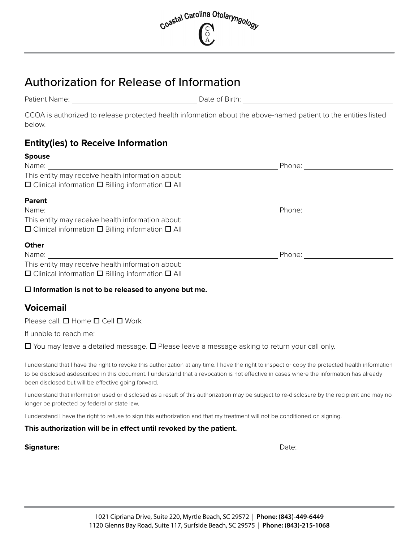

# Authorization for Release of Information

Patient Name: The Contract of Birth: Date of Birth:

CCOA is authorized to release protected health information about the above-named patient to the entities listed below.

# **Entity(ies) to Receive Information**

| <b>Spouse</b>                                                                                                                                                                                                                  |                            |  |
|--------------------------------------------------------------------------------------------------------------------------------------------------------------------------------------------------------------------------------|----------------------------|--|
|                                                                                                                                                                                                                                |                            |  |
| This entity may receive health information about:                                                                                                                                                                              |                            |  |
| $\Box$ Clinical information $\Box$ Billing information $\Box$ All                                                                                                                                                              |                            |  |
| <b>Parent</b>                                                                                                                                                                                                                  |                            |  |
|                                                                                                                                                                                                                                | Phone: <u>____________</u> |  |
| This entity may receive health information about:                                                                                                                                                                              |                            |  |
| $\Box$ Clinical information $\Box$ Billing information $\Box$ All                                                                                                                                                              |                            |  |
| <b>Other</b>                                                                                                                                                                                                                   |                            |  |
| Name: when the contract of the contract of the contract of the contract of the contract of the contract of the contract of the contract of the contract of the contract of the contract of the contract of the contract of the | Phone: <u>___</u>          |  |
| This entity may receive health information about:                                                                                                                                                                              |                            |  |
| $\Box$ Clinical information $\Box$ Billing information $\Box$ All                                                                                                                                                              |                            |  |
|                                                                                                                                                                                                                                |                            |  |

## **Information is not to be released to anyone but me.**

# **Voicemail**

Please call:  $\Box$  Home  $\Box$  Cell  $\Box$  Work

If unable to reach me:

 $\Box$  You may leave a detailed message.  $\Box$  Please leave a message asking to return your call only.

I understand that I have the right to revoke this authorization at any time. I have the right to inspect or copy the protected health information to be disclosed asdescribed in this document. I understand that a revocation is not effective in cases where the information has already been disclosed but will be effective going forward.

I understand that information used or disclosed as a result of this authorization may be subject to re-disclosure by the recipient and may no longer be protected by federal or state law.

I understand I have the right to refuse to sign this authorization and that my treatment will not be conditioned on signing.

## **This authorization will be in effect until revoked by the patient.**

| Signature: |
|------------|
|------------|

**Signature:** Date: Date: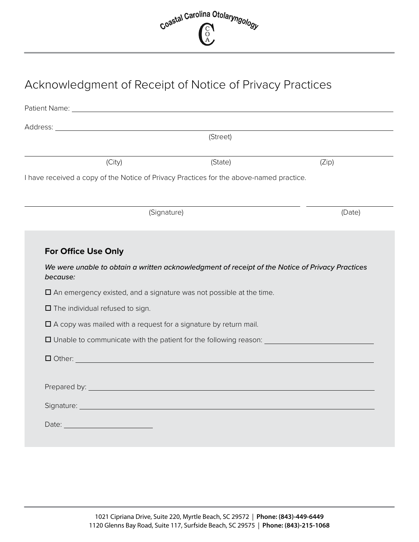

# Acknowledgment of Receipt of Notice of Privacy Practices

| Address: Analysis and the contract of the contract of the contract of the contract of the contract of the contract of the contract of the contract of the contract of the contract of the contract of the contract of the cont |                                                                                                                                                                                                                                                                    |        |
|--------------------------------------------------------------------------------------------------------------------------------------------------------------------------------------------------------------------------------|--------------------------------------------------------------------------------------------------------------------------------------------------------------------------------------------------------------------------------------------------------------------|--------|
|                                                                                                                                                                                                                                | (Street)                                                                                                                                                                                                                                                           |        |
| (City)                                                                                                                                                                                                                         | (State)                                                                                                                                                                                                                                                            | (Zip)  |
| I have received a copy of the Notice of Privacy Practices for the above-named practice.                                                                                                                                        |                                                                                                                                                                                                                                                                    |        |
|                                                                                                                                                                                                                                | (Signature)                                                                                                                                                                                                                                                        | (Date) |
|                                                                                                                                                                                                                                |                                                                                                                                                                                                                                                                    |        |
| <b>For Office Use Only</b>                                                                                                                                                                                                     |                                                                                                                                                                                                                                                                    |        |
| because:                                                                                                                                                                                                                       | We were unable to obtain a written acknowledgment of receipt of the Notice of Privacy Practices                                                                                                                                                                    |        |
|                                                                                                                                                                                                                                |                                                                                                                                                                                                                                                                    |        |
| $\square$ An emergency existed, and a signature was not possible at the time.                                                                                                                                                  |                                                                                                                                                                                                                                                                    |        |
| $\Box$ The individual refused to sign.                                                                                                                                                                                         |                                                                                                                                                                                                                                                                    |        |
| $\square$ A copy was mailed with a request for a signature by return mail.                                                                                                                                                     |                                                                                                                                                                                                                                                                    |        |
|                                                                                                                                                                                                                                |                                                                                                                                                                                                                                                                    |        |
|                                                                                                                                                                                                                                | $\Box$ Other: $\Box$ Other: $\Box$ Other: $\Box$ Other: $\Box$ Other: $\Box$ Other: $\Box$ Other: $\Box$ Other: $\Box$ Other: $\Box$ Other: $\Box$ Other: $\Box$ Other: $\Box$ Other: $\Box$ Other: $\Box$ Other: $\Box$ Other: $\Box$ Other: $\Box$ Other: $\Box$ |        |
|                                                                                                                                                                                                                                |                                                                                                                                                                                                                                                                    |        |
| Prepared by: New York Street, New York Street, New York Street, New York Street, New York Street, New York Street, New York Street, New York Street, New York Street, New York Street, New York Street, New York Street, New Y |                                                                                                                                                                                                                                                                    |        |
|                                                                                                                                                                                                                                |                                                                                                                                                                                                                                                                    |        |